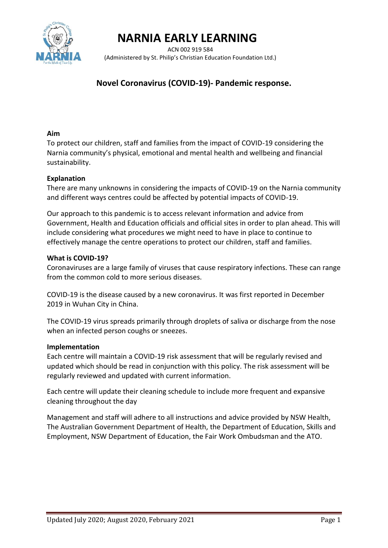

## **NARNIA EARLY LEARNING**

 ACN 002 919 584 (Administered by St. Philip's Christian Education Foundation Ltd.)

#### **Novel Coronavirus (COVID-19)- Pandemic response.**

#### **Aim**

To protect our children, staff and families from the impact of COVID-19 considering the Narnia community's physical, emotional and mental health and wellbeing and financial sustainability.

#### **Explanation**

There are many unknowns in considering the impacts of COVID-19 on the Narnia community and different ways centres could be affected by potential impacts of COVID-19.

Our approach to this pandemic is to access relevant information and advice from Government, Health and Education officials and official sites in order to plan ahead. This will include considering what procedures we might need to have in place to continue to effectively manage the centre operations to protect our children, staff and families.

#### **What is COVID-19?**

Coronaviruses are a large family of viruses that cause respiratory infections. These can range from the common cold to more serious diseases.

COVID-19 is the disease caused by a new coronavirus. It was first reported in December 2019 in Wuhan City in China.

The COVID-19 virus spreads primarily through droplets of saliva or discharge from the nose when an infected person coughs or sneezes.

#### **Implementation**

Each centre will maintain a COVID-19 risk assessment that will be regularly revised and updated which should be read in conjunction with this policy. The risk assessment will be regularly reviewed and updated with current information.

Each centre will update their cleaning schedule to include more frequent and expansive cleaning throughout the day

Management and staff will adhere to all instructions and advice provided by NSW Health, The Australian Government Department of Health, the Department of Education, Skills and Employment, NSW Department of Education, the Fair Work Ombudsman and the ATO.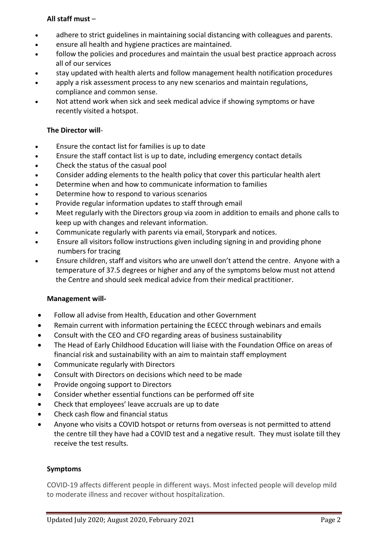#### **All staff must** –

- adhere to strict guidelines in maintaining social distancing with colleagues and parents.
- ensure all health and hygiene practices are maintained.
- follow the policies and procedures and maintain the usual best practice approach across all of our services
- stay updated with health alerts and follow management health notification procedures
- apply a risk assessment process to any new scenarios and maintain regulations, compliance and common sense.
- Not attend work when sick and seek medical advice if showing symptoms or have recently visited a hotspot.

#### **The Director will**-

- Ensure the contact list for families is up to date
- Ensure the staff contact list is up to date, including emergency contact details
- Check the status of the casual pool
- Consider adding elements to the health policy that cover this particular health alert
- Determine when and how to communicate information to families
- Determine how to respond to various scenarios
- Provide regular information updates to staff through email
- Meet regularly with the Directors group via zoom in addition to emails and phone calls to keep up with changes and relevant information.
- Communicate regularly with parents via email, Storypark and notices.
- Ensure all visitors follow instructions given including signing in and providing phone numbers for tracing
- Ensure children, staff and visitors who are unwell don't attend the centre. Anyone with a temperature of 37.5 degrees or higher and any of the symptoms below must not attend the Centre and should seek medical advice from their medical practitioner.

#### **Management will-**

- Follow all advise from Health, Education and other Government
- Remain current with information pertaining the ECECC through webinars and emails
- Consult with the CEO and CFO regarding areas of business sustainability
- The Head of Early Childhood Education will liaise with the Foundation Office on areas of financial risk and sustainability with an aim to maintain staff employment
- Communicate regularly with Directors
- Consult with Directors on decisions which need to be made
- Provide ongoing support to Directors
- Consider whether essential functions can be performed off site
- Check that employees' leave accruals are up to date
- Check cash flow and financial status
- Anyone who visits a COVID hotspot or returns from overseas is not permitted to attend the centre till they have had a COVID test and a negative result. They must isolate till they receive the test results.

#### **Symptoms**

COVID-19 affects different people in different ways. Most infected people will develop mild to moderate illness and recover without hospitalization.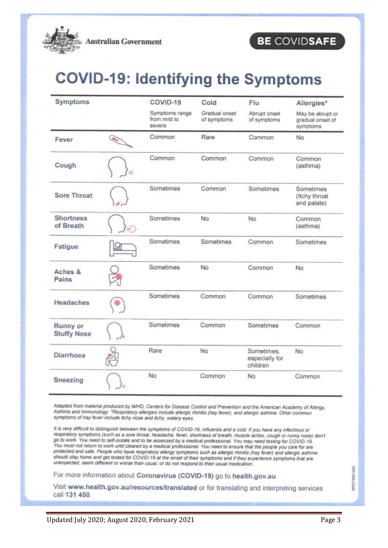

### BE COVIDSAFE

# **COVID-19: Identifying the Symptoms**

| Symptoms                       |   | COVID-19<br>Symptoms range<br>from mild to<br>severe | Cold<br>Gradual onset<br>of symptoms | Flu<br>Abrupt onset<br>of symptoms       | Allergies*<br>May be abrupt or<br>gradual onset of<br>symptoms |
|--------------------------------|---|------------------------------------------------------|--------------------------------------|------------------------------------------|----------------------------------------------------------------|
|                                |   |                                                      |                                      |                                          |                                                                |
| Fever                          | G | Common                                               | Rare                                 | Common                                   | No                                                             |
| Cough                          |   | Common                                               | Common                               | Common                                   | Common<br>(asthma)                                             |
| <b>Sore Throat</b>             |   | Sometimes                                            | Common                               | Sometimes                                | Sometimes<br>(Itchy throat<br>and palate)                      |
| <b>Shortness</b><br>of Breath  | ÷ | Sometimes                                            | No                                   | No                                       | Common<br>(asthma)                                             |
| Fatigue                        |   | Sometimes                                            | Sometimes                            | Common                                   | Sometimes                                                      |
| Aches &<br>Pains               |   | Sometimes                                            | No                                   | Common                                   | No                                                             |
| Headaches                      |   | Sometimes                                            | Common                               | Common                                   | Sometimes                                                      |
| Runny or<br><b>Stuffy Nose</b> |   | Sometimes                                            | Common                               | Sometimes                                | Common                                                         |
| <b>Diarrhoea</b>               |   | Rare                                                 | No                                   | Sometimes,<br>especially for<br>children | No.                                                            |
| Sneezing                       |   | No                                                   | Common                               | No                                       | Common                                                         |

Adapted from material produced by WHO, Centers for Disease Control and Prevention and the American Academy of Allergy, Asthma and Immunology. "Respiratory allergies include allergic rhinitis (hay fever), and allergic asthma. Other common symptoms of hay fever include itchy nose and itchy, watery eyes.

It is very difficult to distinguish between the symptoms of COVID-19, influenza and a cold. If you have any infectious or respiratory symptoms (such as a sore throat, headache, fever, shortness of breath, muscle aches, cough or runny nose) don't go to work. You need to self-isolate and to be assessed by a medical professional. You may need testing for COVID-19. You must not return to work until cleared by a medical professional. You need to ensure that the people you care for are protected and safe. People who have respiratory allergy symptoms such as allergic rhinitis (hay fever) and allergic asthma should stay home and get tested for COVID-19 at the onset of their symptoms and if they experience symptoms that are unexpected, seem different or worse than usual, or do not respond to their usual medication.

For more information about Coronavirus (COVID-19) go to health.gov.au

Visit www.health.gov.au/resources/translated or for translating and interpreting services call 131 450.

DTDT0001045